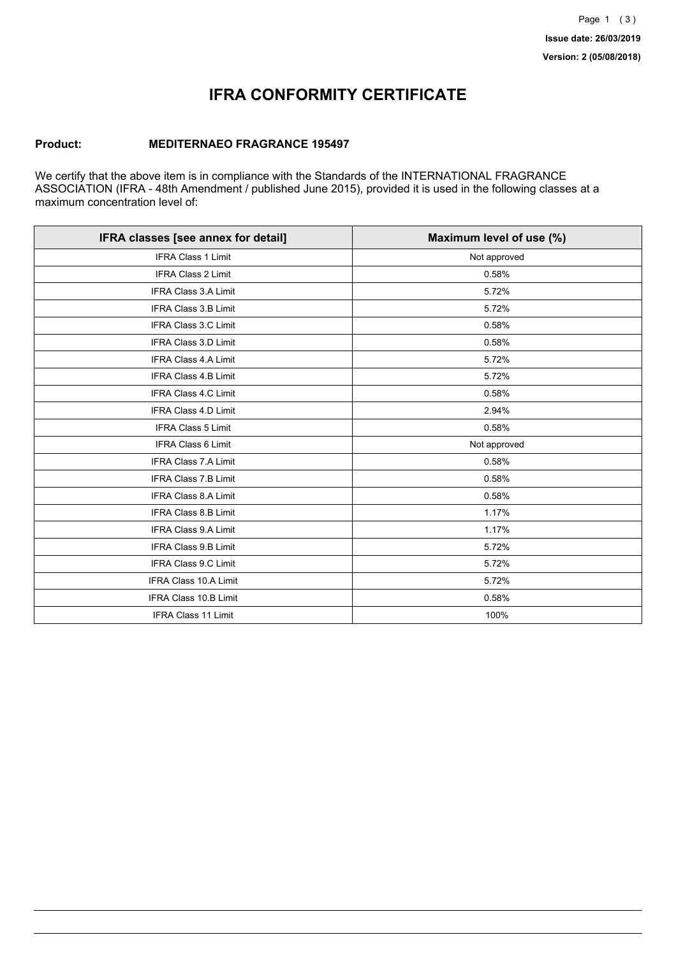## **IFRA CONFORMITY CERTIFICATE**

### **Product: MEDITERNAEO FRAGRANCE 195497**

We certify that the above item is in compliance with the Standards of the INTERNATIONAL FRAGRANCE ASSOCIATION (IFRA - 48th Amendment / published June 2015), provided it is used in the following classes at a maximum concentration level of:

| IFRA classes [see annex for detail] | Maximum level of use (%) |
|-------------------------------------|--------------------------|
| <b>IFRA Class 1 Limit</b>           | Not approved             |
| <b>IFRA Class 2 Limit</b>           | 0.58%                    |
| <b>IFRA Class 3.A Limit</b>         | 5.72%                    |
| <b>IFRA Class 3.B Limit</b>         | 5.72%                    |
| IFRA Class 3.C Limit                | 0.58%                    |
| <b>IFRA Class 3.D Limit</b>         | 0.58%                    |
| <b>IFRA Class 4.A Limit</b>         | 5.72%                    |
| <b>IFRA Class 4.B Limit</b>         | 5.72%                    |
| IFRA Class 4.C Limit                | 0.58%                    |
| <b>IFRA Class 4.D Limit</b>         | 2.94%                    |
| <b>IFRA Class 5 Limit</b>           | 0.58%                    |
| IFRA Class 6 Limit                  | Not approved             |
| <b>IFRA Class 7.A Limit</b>         | 0.58%                    |
| <b>IFRA Class 7.B Limit</b>         | 0.58%                    |
| <b>IFRA Class 8.A Limit</b>         | 0.58%                    |
| <b>IFRA Class 8.B Limit</b>         | 1.17%                    |
| <b>IFRA Class 9.A Limit</b>         | 1.17%                    |
| <b>IFRA Class 9.B Limit</b>         | 5.72%                    |
| IFRA Class 9.C Limit                | 5.72%                    |
| IFRA Class 10.A Limit               | 5.72%                    |
| <b>IFRA Class 10.B Limit</b>        | 0.58%                    |
| IFRA Class 11 Limit                 | 100%                     |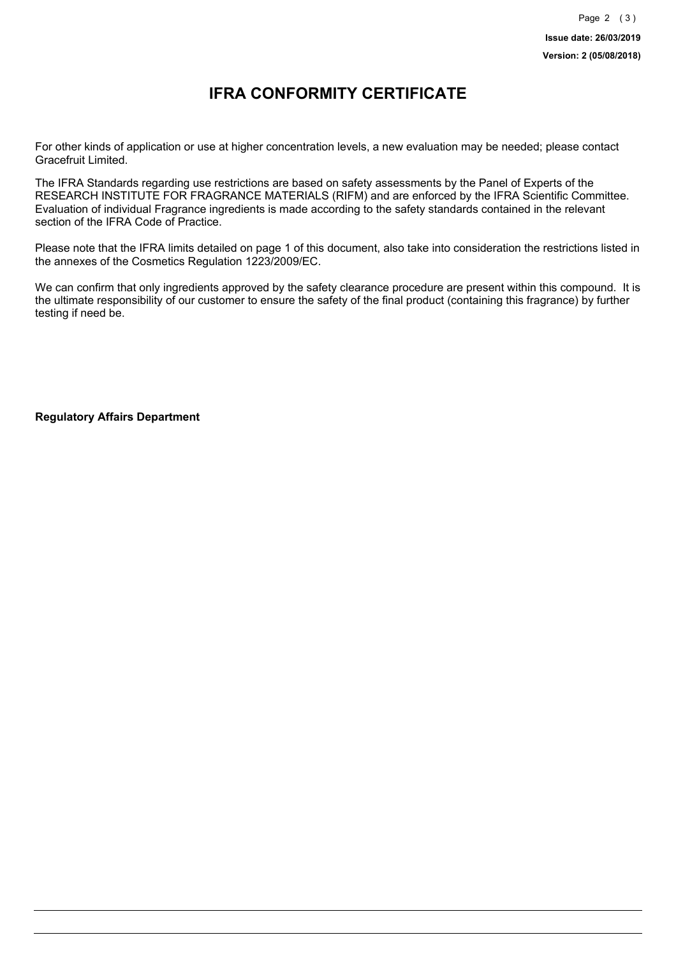### **IFRA CONFORMITY CERTIFICATE**

For other kinds of application or use at higher concentration levels, a new evaluation may be needed; please contact Gracefruit Limited.

The IFRA Standards regarding use restrictions are based on safety assessments by the Panel of Experts of the RESEARCH INSTITUTE FOR FRAGRANCE MATERIALS (RIFM) and are enforced by the IFRA Scientific Committee. Evaluation of individual Fragrance ingredients is made according to the safety standards contained in the relevant section of the IFRA Code of Practice.

Please note that the IFRA limits detailed on page 1 of this document, also take into consideration the restrictions listed in the annexes of the Cosmetics Regulation 1223/2009/EC.

We can confirm that only ingredients approved by the safety clearance procedure are present within this compound. It is the ultimate responsibility of our customer to ensure the safety of the final product (containing this fragrance) by further testing if need be.

**Regulatory Affairs Department**